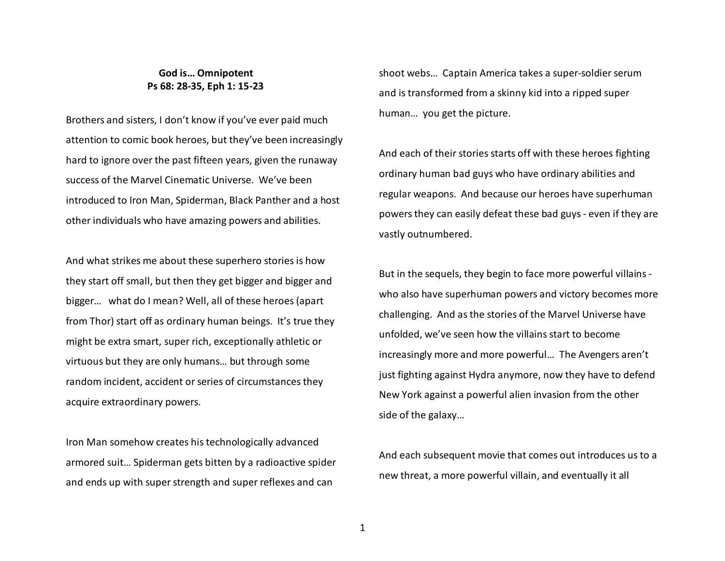## **God is… Omnipotent Ps 68: 28-35, Eph 1: 15-23**

Brothers and sisters, I don't know if you've ever paid much attention to comic book heroes, but they've been increasingly hard to ignore over the past fifteen years, given the runaway success of the Marvel Cinematic Universe. We've been introduced to Iron Man, Spiderman, Black Panther and a host other individuals who have amazing powers and abilities.

And what strikes me about these superhero stories is how they start off small, but then they get bigger and bigger and bigger… what do I mean? Well, all of these heroes (apart from Thor) start off as ordinary human beings. It's true they might be extra smart, super rich, exceptionally athletic or virtuous but they are only humans… but through somerandom incident, accident or series of circumstances they acquire extraordinary powers.

Iron Man somehow creates his technologically advanced armored suit… Spiderman gets bitten by a radioactive spider and ends up with super strength and super reflexes and can

shoot webs… Captain America takes a super-soldier serum and is transformed from a skinny kid into a ripped super human… you get the picture.

And each of their stories starts off with these heroes fighting ordinary human bad guys who have ordinary abilities and regular weapons. And because our heroes have superhuman powers they can easily defeat these bad guys - even if they are vastly outnumbered.

But in the sequels, they begin to face more powerful villains who also have superhuman powers and victory becomes more challenging. And as the stories of the Marvel Universe have unfolded, we've seen how the villains start to becomeincreasingly more and more powerful… The Avengers aren't just fighting against Hydra anymore, now they have to defend New York against a powerful alien invasion from the other side of the galaxy…

And each subsequent movie that comes out introduces us to a new threat, a more powerful villain, and eventually it all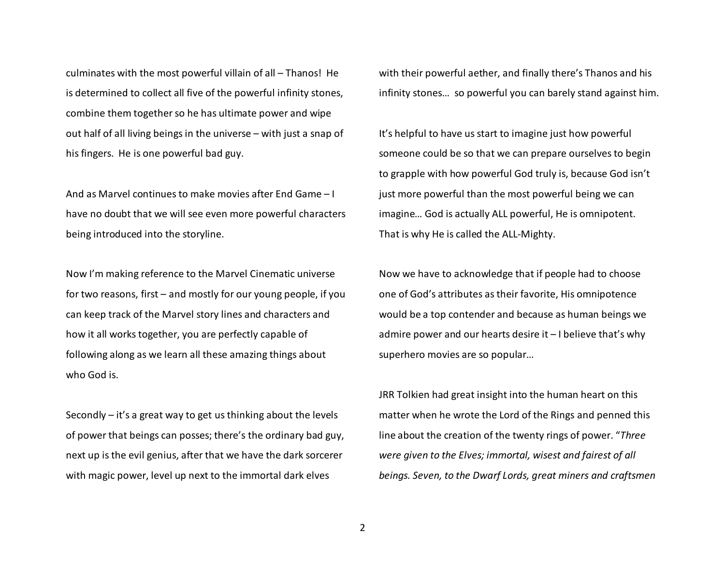culminates with the most powerful villain of all – Thanos! He is determined to collect all five of the powerful infinity stones, combine them together so he has ultimate power and wipe out half of all living beings in the universe – with just a snap of his fingers. He is one powerful bad guy.

And as Marvel continues to make movies after End Game – I have no doubt that we will see even more powerful characters being introduced into the storyline.

Now I'm making reference to the Marvel Cinematic universe for two reasons, first – and mostly for our young people, if you can keep track of the Marvel story lines and characters and how it all works together, you are perfectly capable of following along as we learn all these amazing things about who God is.

Secondly – it's a great way to get us thinking about the levels of power that beings can posses; there's the ordinary bad guy, next up is the evil genius, after that we have the dark sorcerer with magic power, level up next to the immortal dark elves

with their powerful aether, and finally there's Thanos and his infinity stones… so powerful you can barely stand against him.

It's helpful to have us start to imagine just how powerful someone could be so that we can prepare ourselves to begin to grapple with how powerful God truly is, because God isn't just more powerful than the most powerful being we can imagine… God is actually ALL powerful, He is omnipotent. That is why He is called the ALL-Mighty.

Now we have to acknowledge that if people had to choose one of God's attributes as their favorite, His omnipotence would be a top contender and because as human beings we admire power and our hearts desire it – I believe that's why superhero movies are so popular…

JRR Tolkien had great insight into the human heart on this matter when he wrote the Lord of the Rings and penned this line about the creation of the twenty rings of power. "*Three were given to the Elves; immortal, wisest and fairest of all beings. Seven, to the Dwarf Lords, great miners and craftsmen* 

2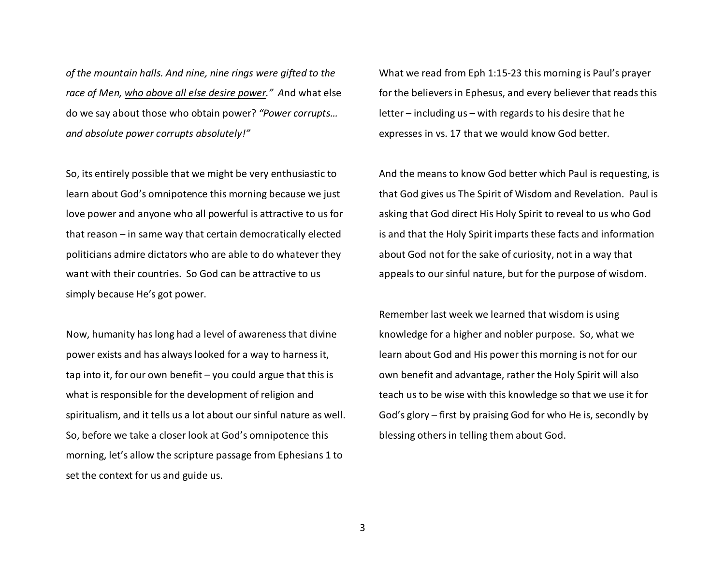*of the mountain halls. And nine, nine rings were gifted to the race of Men, who above all else desire power." A*nd what else do we say about those who obtain power? *"Power corrupts… and absolute power corrupts absolutely!"*

So, its entirely possible that we might be very enthusiastic to learn about God's omnipotence this morning because we just love power and anyone who all powerful is attractive to us for that reason – in same way that certain democratically elected politicians admire dictators who are able to do whatever they want with their countries. So God can be attractive to us simply because He's got power.

Now, humanity has long had a level of awareness that divine power exists and has always looked for a way to harness it, tap into it, for our own benefit – you could argue that this is what is responsible for the development of religion and spiritualism, and it tells us a lot about our sinful nature as well. So, before we take a closer look at God's omnipotence this morning, let's allow the scripture passage from Ephesians 1 to set the context for us and guide us.

What we read from Eph 1:15-23 this morning is Paul's prayer for the believers in Ephesus, and every believer that reads this letter – including us – with regards to his desire that he expresses in vs. 17 that we would know God better.

And the means to know God better which Paul is requesting, is that God gives us The Spirit of Wisdom and Revelation. Paul is asking that God direct His Holy Spirit to reveal to us who God is and that the Holy Spirit imparts these facts and information about God not for the sake of curiosity, not in a way that appeals to our sinful nature, but for the purpose of wisdom.

Remember last week we learned that wisdom is using knowledge for a higher and nobler purpose. So, what we learn about God and His power this morning is not for our own benefit and advantage, rather the Holy Spirit will also teach us to be wise with this knowledge so that we use it for God's glory – first by praising God for who He is, secondly by blessing others in telling them about God.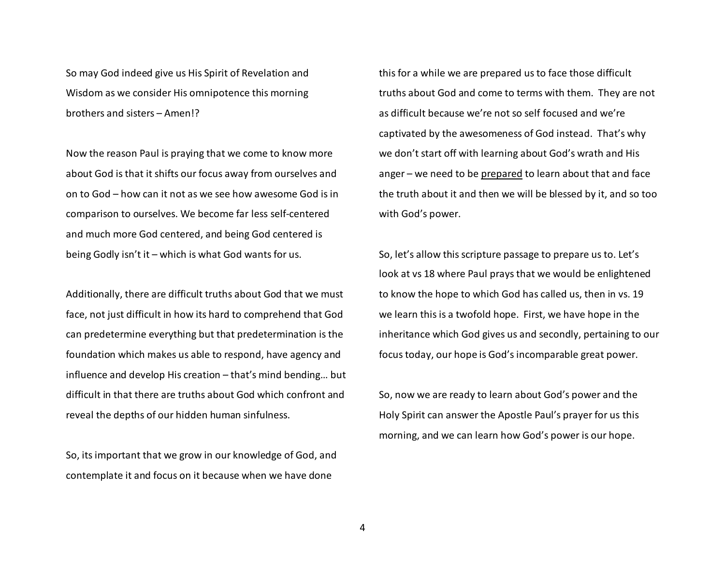So may God indeed give us His Spirit of Revelation and Wisdom as we consider His omnipotence this morning brothers and sisters – Amen!?

Now the reason Paul is praying that we come to know more about God is that it shifts our focus away from ourselves and on to God – how can it not as we see how awesome God is in comparison to ourselves. We become far less self-centered and much more God centered, and being God centered is being Godly isn't it – which is what God wants for us.

Additionally, there are difficult truths about God that we must face, not just difficult in how its hard to comprehend that God can predetermine everything but that predetermination is the foundation which makes us able to respond, have agency and influence and develop His creation – that's mind bending… but difficult in that there are truths about God which confront and reveal the depths of our hidden human sinfulness.

So, its important that we grow in our knowledge of God, and contemplate it and focus on it because when we have done

this for a while we are prepared us to face those difficult truths about God and come to terms with them. They are not as difficult because we're not so self focused and we're captivated by the awesomeness of God instead. That's why we don't start off with learning about God's wrath and His anger – we need to be prepared to learn about that and face the truth about it and then we will be blessed by it, and so too with God's power.

So, let's allow this scripture passage to prepare us to. Let's look at vs 18 where Paul prays that we would be enlightened to know the hope to which God has called us, then in vs. 19 we learn this is a twofold hope. First, we have hope in the inheritance which God gives us and secondly, pertaining to our focus today, our hope is God's incomparable great power.

So, now we are ready to learn about God's power and the Holy Spirit can answer the Apostle Paul's prayer for us this morning, and we can learn how God's power is our hope.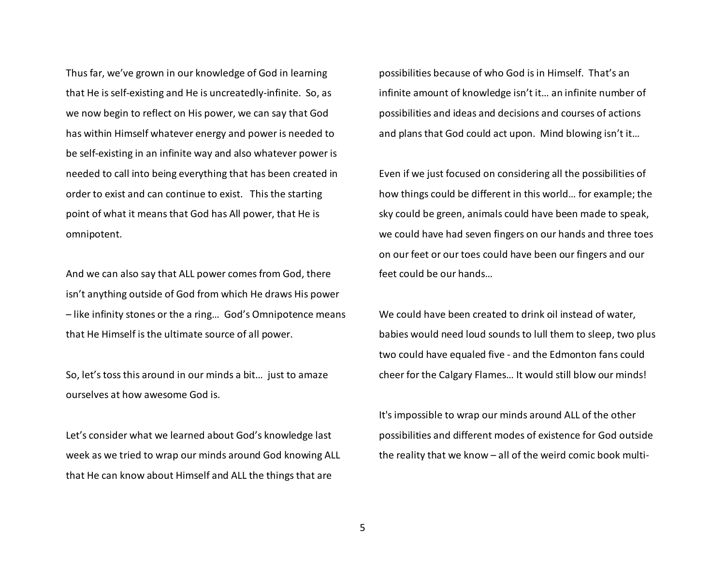Thus far, we've grown in our knowledge of God in learning that He is self-existing and He is uncreatedly-infinite. So, as we now begin to reflect on His power, we can say that God has within Himself whatever energy and power is needed to be self-existing in an infinite way and also whatever power is needed to call into being everything that has been created in order to exist and can continue to exist. This the starting point of what it means that God has All power, that He is omnipotent.

And we can also say that ALL power comes from God, there isn't anything outside of God from which He draws His power – like infinity stones or the a ring… God's Omnipotence means that He Himself is the ultimate source of all power.

So, let's toss this around in our minds a bit… just to amaze ourselves at how awesome God is.

Let's consider what we learned about God's knowledge last week as we tried to wrap our minds around God knowing ALL that He can know about Himself and ALL the things that are

possibilities because of who God is in Himself. That's an infinite amount of knowledge isn't it… an infinite number of possibilities and ideas and decisions and courses of actions and plans that God could act upon. Mind blowing isn't it…

Even if we just focused on considering all the possibilities of how things could be different in this world… for example; the sky could be green, animals could have been made to speak, we could have had seven fingers on our hands and three toes on our feet or our toes could have been our fingers and our feet could be our hands…

We could have been created to drink oil instead of water, babies would need loud sounds to lull them to sleep, two plus two could have equaled five - and the Edmonton fans could cheer for the Calgary Flames… It would still blow our minds!

It's impossible to wrap our minds around ALL of the other possibilities and different modes of existence for God outside the reality that we know – all of the weird comic book multi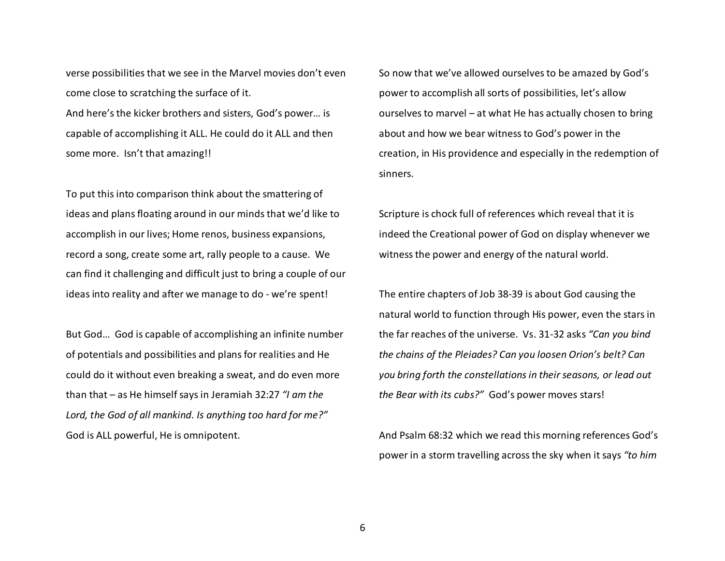verse possibilities that we see in the Marvel movies don't even come close to scratching the surface of it. And here's the kicker brothers and sisters, God's power… is capable of accomplishing it ALL. He could do it ALL and then some more. Isn't that amazing!!

To put this into comparison think about the smattering of ideas and plans floating around in our minds that we'd like to accomplish in our lives; Home renos, business expansions, record a song, create some art, rally people to a cause. We can find it challenging and difficult just to bring a couple of our ideas into reality and after we manage to do - we're spent!

But God… God is capable of accomplishing an infinite number of potentials and possibilities and plans for realities and He could do it without even breaking a sweat, and do even more than that – as He himself says in Jeramiah 32:27 *"I am the Lord, the God of all mankind. Is anything too hard for me?"*God is ALL powerful, He is omnipotent.

So now that we've allowed ourselves to be amazed by God's power to accomplish all sorts of possibilities, let's allow ourselves to marvel – at what He has actually chosen to bring about and how we bear witness to God's power in the creation, in His providence and especially in the redemption of sinners.

Scripture is chock full of references which reveal that it is indeed the Creational power of God on display whenever we witness the power and energy of the natural world.

The entire chapters of Job 38-39 is about God causing the natural world to function through His power, even the stars in the far reaches of the universe. Vs. 31-32 asks *"Can you bind the chains of the Pleiades? Can you loosen Orion's belt? Can you bring forth the constellations in their seasons, or lead out the Bear with its cubs?"* God's power moves stars!

And Psalm 68:32 which we read this morning references God's power in a storm travelling across the sky when it says *"to him*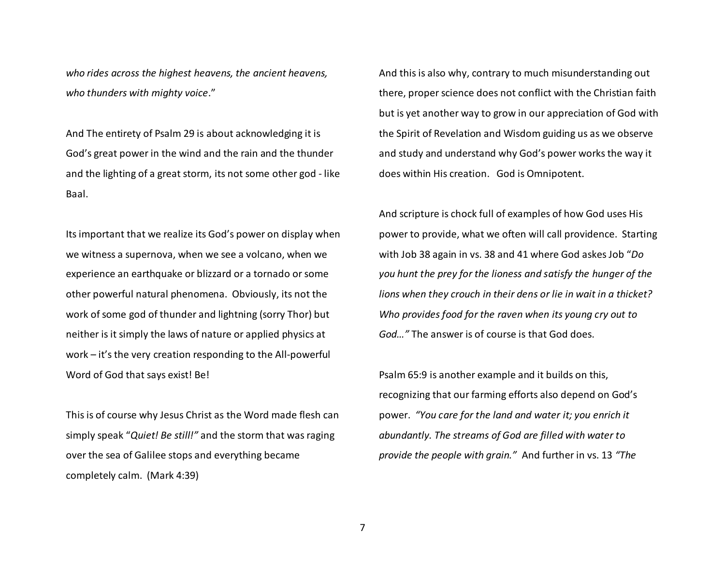*who rides across the highest heavens, the ancient heavens, who thunders with mighty voice*."

And The entirety of Psalm 29 is about acknowledging it is God's great power in the wind and the rain and the thunder and the lighting of a great storm, its not some other god - like Baal.

Its important that we realize its God's power on display when we witness a supernova, when we see a volcano, when we experience an earthquake or blizzard or a tornado or some other powerful natural phenomena. Obviously, its not the work of some god of thunder and lightning (sorry Thor) but neither is it simply the laws of nature or applied physics at work – it's the very creation responding to the All-powerful Word of God that says exist! Be!

This is of course why Jesus Christ as the Word made flesh can simply speak "*Quiet! Be still!"* and the storm that was raging over the sea of Galilee stops and everything becamecompletely calm. (Mark 4:39)

And this is also why, contrary to much misunderstanding out there, proper science does not conflict with the Christian faith but is yet another way to grow in our appreciation of God with the Spirit of Revelation and Wisdom guiding us as we observe and study and understand why God's power works the way it does within His creation. God is Omnipotent.

And scripture is chock full of examples of how God uses His power to provide, what we often will call providence. Starting with Job 38 again in vs. 38 and 41 where God askes Job "*Do you hunt the prey for the lioness and satisfy the hunger of the lions when they crouch in their dens or lie in wait in a thicket? Who provides food for the raven when its young cry out to God…"* The answer is of course is that God does.

Psalm 65:9 is another example and it builds on this, recognizing that our farming efforts also depend on God's power. *"You care for the land and water it; you enrich it abundantly. The streams of God are filled with water to provide the people with grain."* And further in vs. 13 *"The*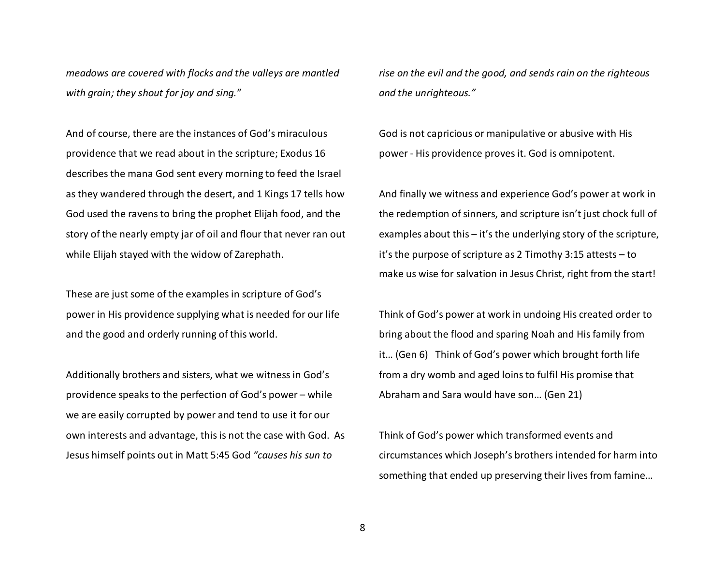*meadows are covered with flocks and the valleys are mantled with grain; they shout for joy and sing."*

And of course, there are the instances of God's miraculous providence that we read about in the scripture; Exodus 16 describes the mana God sent every morning to feed the Israel as they wandered through the desert, and 1 Kings 17 tells how God used the ravens to bring the prophet Elijah food, and the story of the nearly empty jar of oil and flour that never ran out while Elijah stayed with the widow of Zarephath.

These are just some of the examples in scripture of God's power in His providence supplying what is needed for our life and the good and orderly running of this world.

Additionally brothers and sisters, what we witness in God's providence speaks to the perfection of God's power – while we are easily corrupted by power and tend to use it for our own interests and advantage, this is not the case with God. As Jesus himself points out in Matt 5:45 God *"causes his sun to* 

*rise on the evil and the good, and sends rain on the righteous and the unrighteous."*

God is not capricious or manipulative or abusive with His power - His providence proves it. God is omnipotent.

And finally we witness and experience God's power at work in the redemption of sinners, and scripture isn't just chock full of examples about this – it's the underlying story of the scripture, it's the purpose of scripture as 2 Timothy 3:15 attests – to make us wise for salvation in Jesus Christ, right from the start!

Think of God's power at work in undoing His created order to bring about the flood and sparing Noah and His family from it… (Gen 6) Think of God's power which brought forth life from a dry womb and aged loins to fulfil His promise that Abraham and Sara would have son… (Gen 21)

Think of God's power which transformed events and circumstances which Joseph's brothers intended for harm into something that ended up preserving their lives from famine…

8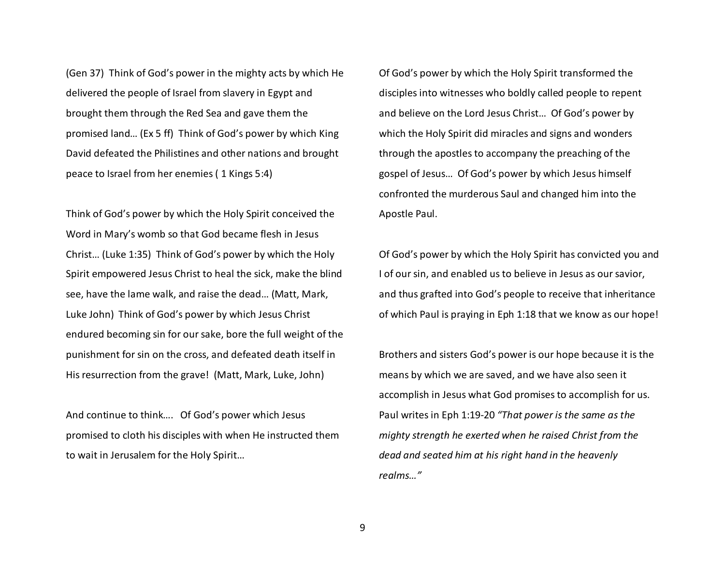(Gen 37) Think of God's power in the mighty acts by which He delivered the people of Israel from slavery in Egypt and brought them through the Red Sea and gave them the promised land… (Ex 5 ff) Think of God's power by which King David defeated the Philistines and other nations and brought peace to Israel from her enemies ( 1 Kings 5:4)

Think of God's power by which the Holy Spirit conceived the Word in Mary's womb so that God became flesh in Jesus Christ… (Luke 1:35) Think of God's power by which the Holy Spirit empowered Jesus Christ to heal the sick, make the blind see, have the lame walk, and raise the dead… (Matt, Mark, Luke John) Think of God's power by which Jesus Christ endured becoming sin for our sake, bore the full weight of the punishment for sin on the cross, and defeated death itself in His resurrection from the grave! (Matt, Mark, Luke, John)

And continue to think…. Of God's power which Jesuspromised to cloth his disciples with when He instructed them to wait in Jerusalem for the Holy Spirit…

Of God's power by which the Holy Spirit transformed the disciples into witnesses who boldly called people to repent and believe on the Lord Jesus Christ… Of God's power by which the Holy Spirit did miracles and signs and wonders through the apostles to accompany the preaching of the gospel of Jesus… Of God's power by which Jesus himself confronted the murderous Saul and changed him into the Apostle Paul.

Of God's power by which the Holy Spirit has convicted you and I of our sin, and enabled us to believe in Jesus as our savior, and thus grafted into God's people to receive that inheritance of which Paul is praying in Eph 1:18 that we know as our hope!

Brothers and sisters God's power is our hope because it is the means by which we are saved, and we have also seen it accomplish in Jesus what God promises to accomplish for us. Paul writes in Eph 1:19-20 *"That power is the same as the mighty strength he exerted when he raised Christ from the dead and seated him at his right hand in the heavenly realms…"*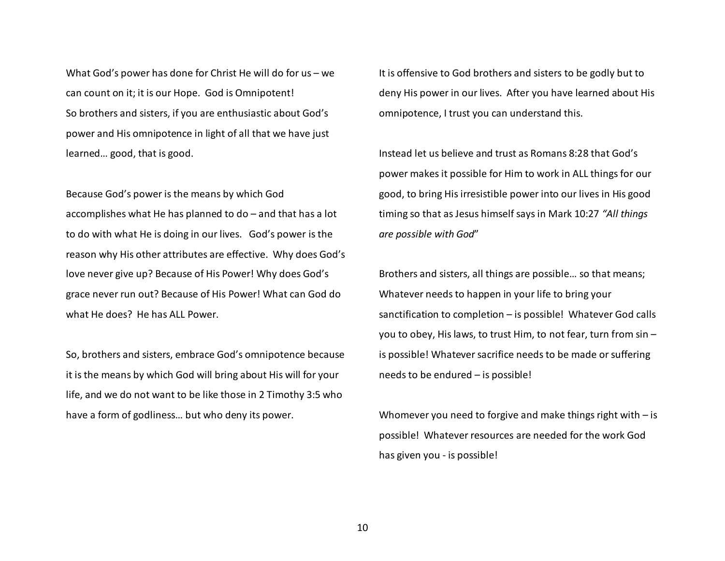What God's power has done for Christ He will do for us – we can count on it; it is our Hope. God is Omnipotent! So brothers and sisters, if you are enthusiastic about God's power and His omnipotence in light of all that we have just learned… good, that is good.

Because God's power is the means by which God accomplishes what He has planned to do – and that has a lot to do with what He is doing in our lives. God's power is the reason why His other attributes are effective. Why does God's love never give up? Because of His Power! Why does God's grace never run out? Because of His Power! What can God do what He does? He has ALL Power.

So, brothers and sisters, embrace God's omnipotence because it is the means by which God will bring about His will for your life, and we do not want to be like those in 2 Timothy 3:5 who have a form of godliness… but who deny its power.

It is offensive to God brothers and sisters to be godly but to deny His power in our lives. After you have learned about His omnipotence, I trust you can understand this.

Instead let us believe and trust as Romans 8:28 that God's power makes it possible for Him to work in ALL things for our good, to bring His irresistible power into our lives in His good timing so that as Jesus himself says in Mark 10:27 *"All things are possible with God*"

Brothers and sisters, all things are possible… so that means; Whatever needs to happen in your life to bring yoursanctification to completion – is possible! Whatever God calls you to obey, His laws, to trust Him, to not fear, turn from sin – is possible! Whatever sacrifice needs to be made or suffering needs to be endured – is possible!

Whomever you need to forgive and make things right with  $-$  is possible! Whatever resources are needed for the work God has given you - is possible!